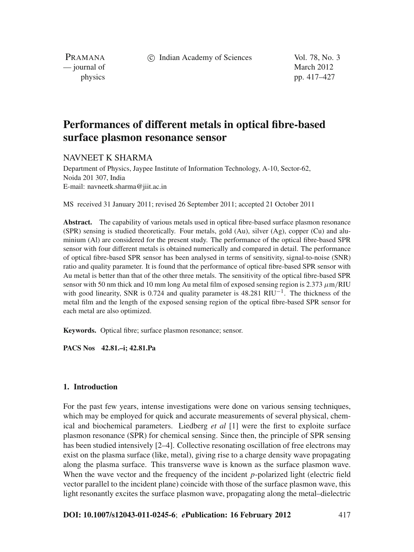c Indian Academy of Sciences Vol. 78, No. 3

PRAMANA — journal of March 2012

physics pp. 417–427

# **Performances of different metals in optical fibre-based surface plasmon resonance sensor**

## NAVNEET K SHARMA

Department of Physics, Jaypee Institute of Information Technology, A-10, Sector-62, Noida 201 307, India E-mail: navneetk.sharma@jiit.ac.in

MS received 31 January 2011; revised 26 September 2011; accepted 21 October 2011

**Abstract.** The capability of various metals used in optical fibre-based surface plasmon resonance (SPR) sensing is studied theoretically. Four metals, gold (Au), silver (Ag), copper (Cu) and aluminium (Al) are considered for the present study. The performance of the optical fibre-based SPR sensor with four different metals is obtained numerically and compared in detail. The performance of optical fibre-based SPR sensor has been analysed in terms of sensitivity, signal-to-noise (SNR) ratio and quality parameter. It is found that the performance of optical fibre-based SPR sensor with Au metal is better than that of the other three metals. The sensitivity of the optical fibre-based SPR sensor with 50 nm thick and 10 mm long Au metal film of exposed sensing region is 2.373  $\mu$ m/RIU with good linearity, SNR is 0.724 and quality parameter is 48.281 RIU<sup> $-1$ </sup>. The thickness of the metal film and the length of the exposed sensing region of the optical fibre-based SPR sensor for each metal are also optimized.

**Keywords.** Optical fibre; surface plasmon resonance; sensor.

**PACS Nos 42.81.–i; 42.81.Pa**

#### **1. Introduction**

For the past few years, intense investigations were done on various sensing techniques, which may be employed for quick and accurate measurements of several physical, chemical and biochemical parameters. Liedberg *et al* [1] were the first to exploite surface plasmon resonance (SPR) for chemical sensing. Since then, the principle of SPR sensing has been studied intensively [2–4]. Collective resonating oscillation of free electrons may exist on the plasma surface (like, metal), giving rise to a charge density wave propagating along the plasma surface. This transverse wave is known as the surface plasmon wave. When the wave vector and the frequency of the incident *p*-polarized light (electric field vector parallel to the incident plane) coincide with those of the surface plasmon wave, this light resonantly excites the surface plasmon wave, propagating along the metal–dielectric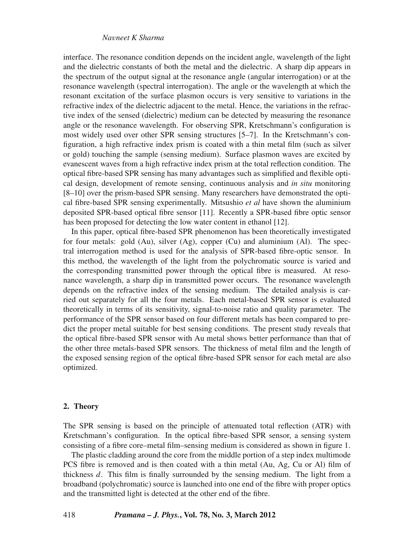interface. The resonance condition depends on the incident angle, wavelength of the light and the dielectric constants of both the metal and the dielectric. A sharp dip appears in the spectrum of the output signal at the resonance angle (angular interrogation) or at the resonance wavelength (spectral interrogation). The angle or the wavelength at which the resonant excitation of the surface plasmon occurs is very sensitive to variations in the refractive index of the dielectric adjacent to the metal. Hence, the variations in the refractive index of the sensed (dielectric) medium can be detected by measuring the resonance angle or the resonance wavelength. For observing SPR, Kretschmann's configuration is most widely used over other SPR sensing structures [5–7]. In the Kretschmann's configuration, a high refractive index prism is coated with a thin metal film (such as silver or gold) touching the sample (sensing medium). Surface plasmon waves are excited by evanescent waves from a high refractive index prism at the total reflection condition. The optical fibre-based SPR sensing has many advantages such as simplified and flexible optical design, development of remote sensing, continuous analysis and *in situ* monitoring [8–10] over the prism-based SPR sensing. Many researchers have demonstrated the optical fibre-based SPR sensing experimentally. Mitsushio *et al* have shown the aluminium deposited SPR-based optical fibre sensor [11]. Recently a SPR-based fibre optic sensor has been proposed for detecting the low water content in ethanol [12].

In this paper, optical fibre-based SPR phenomenon has been theoretically investigated for four metals: gold (Au), silver (Ag), copper (Cu) and aluminium (Al). The spectral interrogation method is used for the analysis of SPR-based fibre-optic sensor. In this method, the wavelength of the light from the polychromatic source is varied and the corresponding transmitted power through the optical fibre is measured. At resonance wavelength, a sharp dip in transmitted power occurs. The resonance wavelength depends on the refractive index of the sensing medium. The detailed analysis is carried out separately for all the four metals. Each metal-based SPR sensor is evaluated theoretically in terms of its sensitivity, signal-to-noise ratio and quality parameter. The performance of the SPR sensor based on four different metals has been compared to predict the proper metal suitable for best sensing conditions. The present study reveals that the optical fibre-based SPR sensor with Au metal shows better performance than that of the other three metals-based SPR sensors. The thickness of metal film and the length of the exposed sensing region of the optical fibre-based SPR sensor for each metal are also optimized.

#### **2. Theory**

The SPR sensing is based on the principle of attenuated total reflection (ATR) with Kretschmann's configuration. In the optical fibre-based SPR sensor, a sensing system consisting of a fibre core–metal film–sensing medium is considered as shown in figure 1.

The plastic cladding around the core from the middle portion of a step index multimode PCS fibre is removed and is then coated with a thin metal (Au, Ag, Cu or Al) film of thickness *d*. This film is finally surrounded by the sensing medium. The light from a broadband (polychromatic) source is launched into one end of the fibre with proper optics and the transmitted light is detected at the other end of the fibre.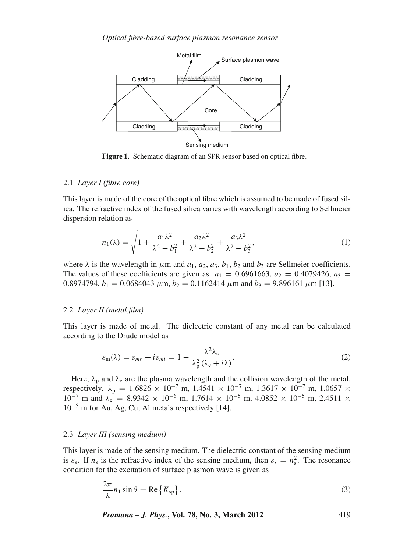

**Figure 1.** Schematic diagram of an SPR sensor based on optical fibre.

## 2.1 *Layer I (fibre core)*

This layer is made of the core of the optical fibre which is assumed to be made of fused silica. The refractive index of the fused silica varies with wavelength according to Sellmeier dispersion relation as

$$
n_1(\lambda) = \sqrt{1 + \frac{a_1 \lambda^2}{\lambda^2 - b_1^2} + \frac{a_2 \lambda^2}{\lambda^2 - b_2^2} + \frac{a_3 \lambda^2}{\lambda^2 - b_3^2}},
$$
(1)

where  $\lambda$  is the wavelength in  $\mu$ m and  $a_1$ ,  $a_2$ ,  $a_3$ ,  $b_1$ ,  $b_2$  and  $b_3$  are Sellmeier coefficients. The values of these coefficients are given as:  $a_1 = 0.6961663$ ,  $a_2 = 0.4079426$ ,  $a_3 =$ 0.8974794,  $b_1 = 0.0684043 \ \mu \text{m}$ ,  $b_2 = 0.1162414 \ \mu \text{m}$  and  $b_3 = 9.896161 \ \mu \text{m}$  [13].

## 2.2 *Layer II (metal film)*

This layer is made of metal. The dielectric constant of any metal can be calculated according to the Drude model as

$$
\varepsilon_{\rm m}(\lambda) = \varepsilon_{mr} + i\varepsilon_{mi} = 1 - \frac{\lambda^2 \lambda_{\rm c}}{\lambda_{\rm p}^2 (\lambda_{\rm c} + i\lambda)}.
$$
 (2)

Here,  $\lambda_p$  and  $\lambda_c$  are the plasma wavelength and the collision wavelength of the metal, respectively.  $\lambda_p = 1.6826 \times 10^{-7}$  m,  $1.4541 \times 10^{-7}$  m,  $1.3617 \times 10^{-7}$  m,  $1.0657 \times$  $10^{-7}$  m and  $\lambda_c = 8.9342 \times 10^{-6}$  m,  $1.7614 \times 10^{-5}$  m,  $4.0852 \times 10^{-5}$  m,  $2.4511 \times$  $10^{-5}$  m for Au, Ag, Cu, Al metals respectively [14].

#### 2.3 *Layer III (sensing medium)*

This layer is made of the sensing medium. The dielectric constant of the sensing medium is  $\varepsilon_s$ . If  $n_s$  is the refractive index of the sensing medium, then  $\varepsilon_s = n_s^2$ . The resonance condition for the excitation of surface plasmon wave is given as

$$
\frac{2\pi}{\lambda}n_1\sin\theta = \text{Re}\left\{K_{\text{sp}}\right\},\tag{3}
$$

*Pramana – J. Phys.***, Vol. 78, No. 3, March 2012** 419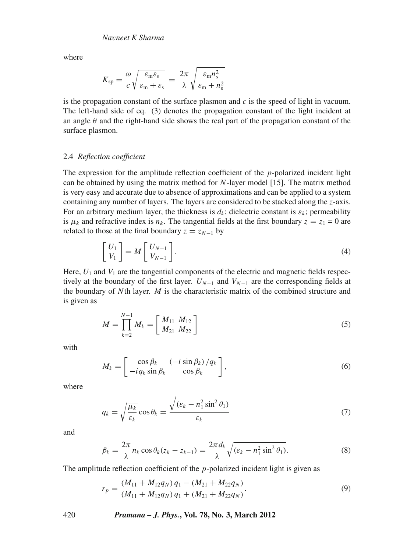where

$$
K_{\rm sp} = \frac{\omega}{c} \sqrt{\frac{\varepsilon_{\rm m} \varepsilon_{\rm s}}{\varepsilon_{\rm m} + \varepsilon_{\rm s}}} = \frac{2\pi}{\lambda} \sqrt{\frac{\varepsilon_{\rm m} n_{\rm s}^2}{\varepsilon_{\rm m} + n_{\rm s}^2}}
$$

is the propagation constant of the surface plasmon and  $c$  is the speed of light in vacuum. The left-hand side of eq. (3) denotes the propagation constant of the light incident at an angle  $\theta$  and the right-hand side shows the real part of the propagation constant of the surface plasmon.

## 2.4 *Reflection coefficient*

The expression for the amplitude reflection coefficient of the *p*-polarized incident light can be obtained by using the matrix method for *N*-layer model [15]. The matrix method is very easy and accurate due to absence of approximations and can be applied to a system containing any number of layers. The layers are considered to be stacked along the *z*-axis. For an arbitrary medium layer, the thickness is  $d_k$ ; dielectric constant is  $\varepsilon_k$ ; permeability is  $\mu_k$  and refractive index is  $n_k$ . The tangential fields at the first boundary  $z = z_1 = 0$  are related to those at the final boundary  $z = z_{N-1}$  by

$$
\begin{bmatrix} U_1 \\ V_1 \end{bmatrix} = M \begin{bmatrix} U_{N-1} \\ V_{N-1} \end{bmatrix}.
$$
 (4)

Here,  $U_1$  and  $V_1$  are the tangential components of the electric and magnetic fields respectively at the boundary of the first layer.  $U_{N-1}$  and  $V_{N-1}$  are the corresponding fields at the boundary of *N*th layer. *M* is the characteristic matrix of the combined structure and is given as

$$
M = \prod_{k=2}^{N-1} M_k = \left[ \begin{array}{c} M_{11} & M_{12} \\ M_{21} & M_{22} \end{array} \right] \tag{5}
$$

with

$$
M_k = \begin{bmatrix} \cos \beta_k & (-i \sin \beta_k) / q_k \\ -i q_k \sin \beta_k & \cos \beta_k \end{bmatrix},\tag{6}
$$

where

$$
q_k = \sqrt{\frac{\mu_k}{\varepsilon_k}} \cos \theta_k = \frac{\sqrt{(\varepsilon_k - n_1^2 \sin^2 \theta_1)}}{\varepsilon_k} \tag{7}
$$

and

$$
\beta_k = \frac{2\pi}{\lambda} n_k \cos \theta_k (z_k - z_{k-1}) = \frac{2\pi d_k}{\lambda} \sqrt{(\varepsilon_k - n_1^2 \sin^2 \theta_1)}.
$$
\n(8)

The amplitude reflection coefficient of the *p*-polarized incident light is given as

$$
r_p = \frac{(M_{11} + M_{12}q_N)q_1 - (M_{21} + M_{22}q_N)}{(M_{11} + M_{12}q_N)q_1 + (M_{21} + M_{22}q_N)}.
$$
\n(9)

420 *Pramana – J. Phys.***, Vol. 78, No. 3, March 2012**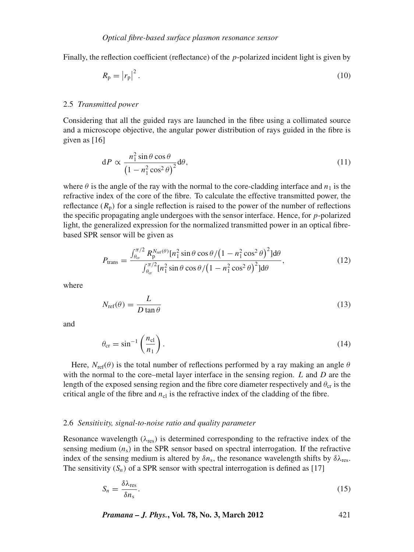Finally, the reflection coefficient (reflectance) of the *p*-polarized incident light is given by

$$
R_{\rm p} = \left| r_{\rm p} \right|^2. \tag{10}
$$

#### 2.5 *Transmitted power*

Considering that all the guided rays are launched in the fibre using a collimated source and a microscope objective, the angular power distribution of rays guided in the fibre is given as [16]

$$
dP \propto \frac{n_1^2 \sin \theta \cos \theta}{\left(1 - n_1^2 \cos^2 \theta\right)^2} d\theta,
$$
\n(11)

where  $\theta$  is the angle of the ray with the normal to the core-cladding interface and  $n_1$  is the refractive index of the core of the fibre. To calculate the effective transmitted power, the reflectance  $(R_p)$  for a single reflection is raised to the power of the number of reflections the specific propagating angle undergoes with the sensor interface. Hence, for *p*-polarized light, the generalized expression for the normalized transmitted power in an optical fibrebased SPR sensor will be given as

$$
P_{\text{trans}} = \frac{\int_{\theta_{\text{cr}}}^{\pi/2} R_{\text{p}}^{N_{\text{ref}}(\theta)} [n_1^2 \sin \theta \cos \theta / (1 - n_1^2 \cos^2 \theta)^2] d\theta}{\int_{\theta_{\text{cr}}}^{\pi/2} [n_1^2 \sin \theta \cos \theta / (1 - n_1^2 \cos^2 \theta)^2] d\theta},\tag{12}
$$

where

$$
N_{\text{ref}}(\theta) = \frac{L}{D \tan \theta} \tag{13}
$$

and

$$
\theta_{\rm cr} = \sin^{-1} \left( \frac{n_{\rm cl}}{n_1} \right). \tag{14}
$$

Here,  $N_{\text{ref}}(\theta)$  is the total number of reflections performed by a ray making an angle  $\theta$ with the normal to the core–metal layer interface in the sensing region. *L* and *D* are the length of the exposed sensing region and the fibre core diameter respectively and  $\theta_{cr}$  is the critical angle of the fibre and  $n_{\rm cl}$  is the refractive index of the cladding of the fibre.

#### 2.6 *Sensiti*v*ity, signal-to-noise ratio and quality parameter*

Resonance wavelength ( $\lambda_{res}$ ) is determined corresponding to the refractive index of the sensing medium  $(n<sub>s</sub>)$  in the SPR sensor based on spectral interrogation. If the refractive index of the sensing medium is altered by  $\delta n_s$ , the resonance wavelength shifts by  $\delta \lambda_{\text{res}}$ . The sensitivity  $(S_n)$  of a SPR sensor with spectral interrogation is defined as [17]

$$
S_n = \frac{\delta \lambda_{\text{res}}}{\delta n_s}.\tag{15}
$$

*Pramana – J. Phys.***, Vol. 78, No. 3, March 2012** 421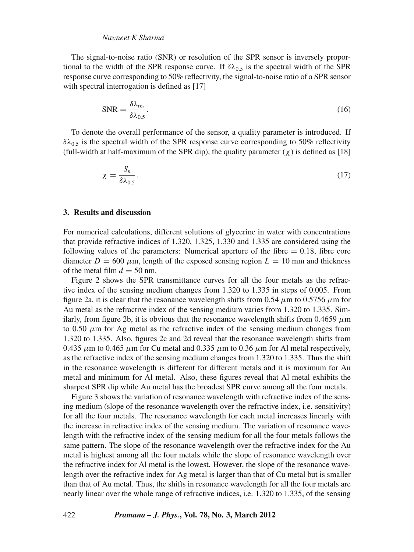The signal-to-noise ratio (SNR) or resolution of the SPR sensor is inversely proportional to the width of the SPR response curve. If  $\delta\lambda_{0.5}$  is the spectral width of the SPR response curve corresponding to 50% reflectivity, the signal-to-noise ratio of a SPR sensor with spectral interrogation is defined as [17]

$$
SNR = \frac{\delta \lambda_{\text{res}}}{\delta \lambda_{0.5}}.\tag{16}
$$

To denote the overall performance of the sensor, a quality parameter is introduced. If  $\delta\lambda_{0.5}$  is the spectral width of the SPR response curve corresponding to 50% reflectivity (full-width at half-maximum of the SPR dip), the quality parameter  $(\chi)$  is defined as [18]

$$
\chi = \frac{S_n}{\delta \lambda_{0.5}}.\tag{17}
$$

## **3. Results and discussion**

For numerical calculations, different solutions of glycerine in water with concentrations that provide refractive indices of 1.320, 1.325, 1.330 and 1.335 are considered using the following values of the parameters: Numerical aperture of the fibre  $= 0.18$ , fibre core diameter  $D = 600 \mu m$ , length of the exposed sensing region  $L = 10 \text{ mm}$  and thickness of the metal film  $d = 50$  nm.

Figure 2 shows the SPR transmittance curves for all the four metals as the refractive index of the sensing medium changes from 1.320 to 1.335 in steps of 0.005. From figure 2a, it is clear that the resonance wavelength shifts from 0.54  $\mu$ m to 0.5756  $\mu$ m for Au metal as the refractive index of the sensing medium varies from 1.320 to 1.335. Similarly, from figure 2b, it is obvious that the resonance wavelength shifts from  $0.4659 \mu m$ to 0.50  $\mu$ m for Ag metal as the refractive index of the sensing medium changes from 1.320 to 1.335. Also, figures 2c and 2d reveal that the resonance wavelength shifts from 0.435  $\mu$ m to 0.465  $\mu$ m for Cu metal and 0.335  $\mu$ m to 0.36  $\mu$ m for Al metal respectively, as the refractive index of the sensing medium changes from 1.320 to 1.335. Thus the shift in the resonance wavelength is different for different metals and it is maximum for Au metal and minimum for Al metal. Also, these figures reveal that Al metal exhibits the sharpest SPR dip while Au metal has the broadest SPR curve among all the four metals.

Figure 3 shows the variation of resonance wavelength with refractive index of the sensing medium (slope of the resonance wavelength over the refractive index, i.e. sensitivity) for all the four metals. The resonance wavelength for each metal increases linearly with the increase in refractive index of the sensing medium. The variation of resonance wavelength with the refractive index of the sensing medium for all the four metals follows the same pattern. The slope of the resonance wavelength over the refractive index for the Au metal is highest among all the four metals while the slope of resonance wavelength over the refractive index for Al metal is the lowest. However, the slope of the resonance wavelength over the refractive index for Ag metal is larger than that of Cu metal but is smaller than that of Au metal. Thus, the shifts in resonance wavelength for all the four metals are nearly linear over the whole range of refractive indices, i.e. 1.320 to 1.335, of the sensing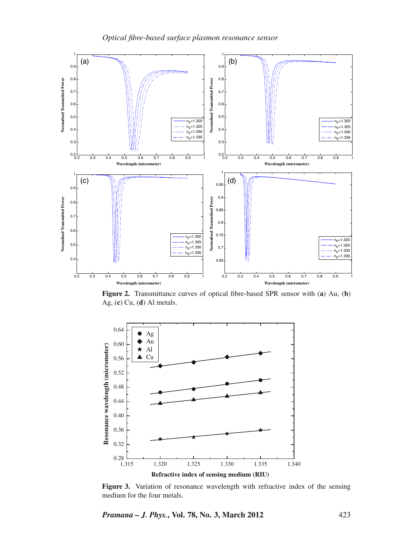

**Figure 2.** Transmittance curves of optical fibre-based SPR sensor with (**a**) Au, (**b**) Ag, (**c**) Cu, (**d**) Al metals.



Figure 3. Variation of resonance wavelength with refractive index of the sensing medium for the four metals.

*Pramana – J. Phys.***, Vol. 78, No. 3, March 2012** 423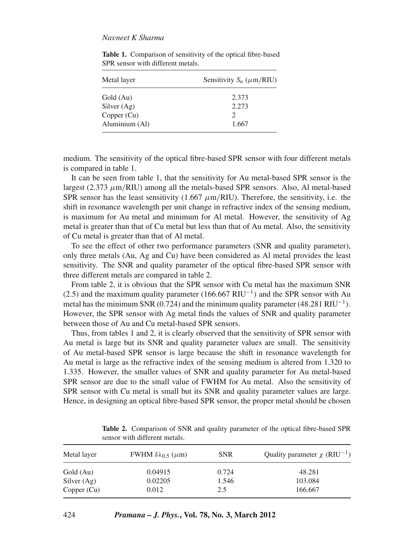| Metal layer    | Sensitivity $S_n$ ( $\mu$ m/RIU) |  |  |  |
|----------------|----------------------------------|--|--|--|
| Gold (Au)      | 2.373                            |  |  |  |
| Silver $(Ag)$  | 2.273                            |  |  |  |
| Copper $(Cu)$  |                                  |  |  |  |
| Aluminium (Al) | 1.667                            |  |  |  |

**Table 1.** Comparison of sensitivity of the optical fibre-based SPR sensor with different metals.

medium. The sensitivity of the optical fibre-based SPR sensor with four different metals is compared in table 1.

It can be seen from table 1, that the sensitivity for Au metal-based SPR sensor is the largest  $(2.373 \mu m/RIU)$  among all the metals-based SPR sensors. Also, Al metal-based SPR sensor has the least sensitivity  $(1.667 \mu m/RIU)$ . Therefore, the sensitivity, i.e. the shift in resonance wavelength per unit change in refractive index of the sensing medium, is maximum for Au metal and minimum for Al metal. However, the sensitivity of Ag metal is greater than that of Cu metal but less than that of Au metal. Also, the sensitivity of Cu metal is greater than that of Al metal.

To see the effect of other two performance parameters (SNR and quality parameter), only three metals (Au, Ag and Cu) have been considered as Al metal provides the least sensitivity. The SNR and quality parameter of the optical fibre-based SPR sensor with three different metals are compared in table 2.

From table 2, it is obvious that the SPR sensor with Cu metal has the maximum SNR (2.5) and the maximum quality parameter (166.667 RIU<sup>-1</sup>) and the SPR sensor with Au metal has the minimum SNR (0.724) and the minimum quality parameter  $(48.281 \text{ RIU}^{-1})$ . However, the SPR sensor with Ag metal finds the values of SNR and quality parameter between those of Au and Cu metal-based SPR sensors.

Thus, from tables 1 and 2, it is clearly observed that the sensitivity of SPR sensor with Au metal is large but its SNR and quality parameter values are small. The sensitivity of Au metal-based SPR sensor is large because the shift in resonance wavelength for Au metal is large as the refractive index of the sensing medium is altered from 1.320 to 1.335. However, the smaller values of SNR and quality parameter for Au metal-based SPR sensor are due to the small value of FWHM for Au metal. Also the sensitivity of SPR sensor with Cu metal is small but its SNR and quality parameter values are large. Hence, in designing an optical fibre-based SPR sensor, the proper metal should be chosen

| Metal layer   | FWHM $\delta\lambda_0$ 5 ( $\mu$ m) | <b>SNR</b> | Quality parameter $\chi$ (RIU <sup>-1</sup> ) |
|---------------|-------------------------------------|------------|-----------------------------------------------|
| Gold (Au)     | 0.04915                             | 0.724      | 48.281                                        |
| Silver $(Ag)$ | 0.02205                             | 1.546      | 103.084                                       |
| Copper (Cu)   | 0.012                               | 2.5        | 166.667                                       |

**Table 2.** Comparison of SNR and quality parameter of the optical fibre-based SPR sensor with different metals.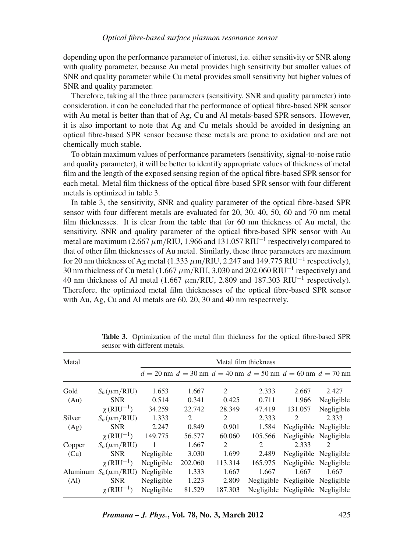depending upon the performance parameter of interest, i.e. either sensitivity or SNR along with quality parameter, because Au metal provides high sensitivity but smaller values of SNR and quality parameter while Cu metal provides small sensitivity but higher values of SNR and quality parameter.

Therefore, taking all the three parameters (sensitivity, SNR and quality parameter) into consideration, it can be concluded that the performance of optical fibre-based SPR sensor with Au metal is better than that of Ag, Cu and Al metals-based SPR sensors. However, it is also important to note that Ag and Cu metals should be avoided in designing an optical fibre-based SPR sensor because these metals are prone to oxidation and are not chemically much stable.

To obtain maximum values of performance parameters (sensitivity, signal-to-noise ratio and quality parameter), it will be better to identify appropriate values of thickness of metal film and the length of the exposed sensing region of the optical fibre-based SPR sensor for each metal. Metal film thickness of the optical fibre-based SPR sensor with four different metals is optimized in table 3.

In table 3, the sensitivity, SNR and quality parameter of the optical fibre-based SPR sensor with four different metals are evaluated for 20, 30, 40, 50, 60 and 70 nm metal film thicknesses. It is clear from the table that for 60 nm thickness of Au metal, the sensitivity, SNR and quality parameter of the optical fibre-based SPR sensor with Au metal are maximum (2.667  $\mu$ m/RIU, 1.966 and 131.057 RIU<sup>-1</sup> respectively) compared to that of other film thicknesses of Au metal. Similarly, these three parameters are maximum for 20 nm thickness of Ag metal (1.333  $\mu$ m/RIU, 2.247 and 149.775 RIU<sup>-1</sup> respectively), 30 nm thickness of Cu metal (1.667  $\mu$ m/RIU, 3.030 and 202.060 RIU<sup>-1</sup> respectively) and 40 nm thickness of Al metal (1.667  $\mu$ m/RIU, 2.809 and 187.303 RIU<sup>-1</sup> respectively). Therefore, the optimized metal film thicknesses of the optical fibre-based SPR sensor with Au, Ag, Cu and Al metals are 60, 20, 30 and 40 nm respectively.

| Metal                         |                             | Metal film thickness |         |         |                                                                         |                             |                       |
|-------------------------------|-----------------------------|----------------------|---------|---------|-------------------------------------------------------------------------|-----------------------------|-----------------------|
|                               |                             |                      |         |         | $d = 20$ nm $d = 30$ nm $d = 40$ nm $d = 50$ nm $d = 60$ nm $d = 70$ nm |                             |                       |
| Gold                          | $S_n(\mu m/RIU)$            | 1.653                | 1.667   | 2       | 2.333                                                                   | 2.667                       | 2.427                 |
| (Au)                          | <b>SNR</b>                  | 0.514                | 0.341   | 0.425   | 0.711                                                                   | 1.966                       | Negligible            |
|                               | $\chi$ (RIU <sup>-1</sup> ) | 34.259               | 22.742  | 28.349  | 47.419                                                                  | 131.057                     | Negligible            |
| Silver<br>(Ag)                | $S_n(\mu m/RIU)$            | 1.333                | 2       | 2       | 2.333                                                                   | $\mathcal{D}_{\mathcal{L}}$ | 2.333                 |
|                               | <b>SNR</b>                  | 2.247                | 0.849   | 0.901   | 1.584                                                                   | Negligible                  | Negligible            |
|                               | $\chi$ (RIU <sup>-1</sup> ) | 149.775              | 56.577  | 60.060  | 105.566                                                                 | Negligible                  | Negligible            |
| Copper<br>(Cu)                | $S_n(\mu m/RIU)$            | 1                    | 1.667   | 2       | 2                                                                       | 2.333                       | 2                     |
|                               | <b>SNR</b>                  | Negligible           | 3.030   | 1.699   | 2.489                                                                   |                             | Negligible Negligible |
|                               | $\chi$ (RIU <sup>-1</sup> ) | Negligible           | 202.060 | 113.314 | 165.975                                                                 |                             | Negligible Negligible |
| Aluminum<br>(A <sub>l</sub> ) | $S_n(\mu m/RIU)$            | Negligible           | 1.333   | 1.667   | 1.667                                                                   | 1.667                       | 1.667                 |
|                               | <b>SNR</b>                  | Negligible           | 1.223   | 2.809   | Negligible                                                              | Negligible                  | Negligible            |
|                               | $\chi$ (RIU <sup>-1</sup> ) | Negligible           | 81.529  | 187.303 | Negligible                                                              |                             | Negligible Negligible |

**Table 3.** Optimization of the metal film thickness for the optical fibre-based SPR sensor with different metals.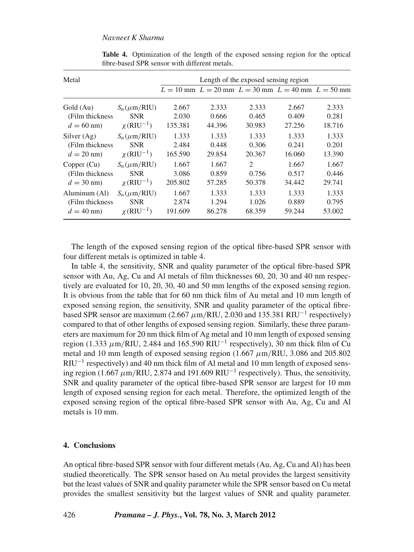| Metal            |                             | Length of the exposed sensing region |        |                             |                                                             |        |  |
|------------------|-----------------------------|--------------------------------------|--------|-----------------------------|-------------------------------------------------------------|--------|--|
|                  |                             |                                      |        |                             | $L = 10$ mm $L = 20$ mm $L = 30$ mm $L = 40$ mm $L = 50$ mm |        |  |
| Gold (Au)        | $S_n(\mu m/RIU)$            | 2.667                                | 2.333  | 2.333                       | 2.667                                                       | 2.333  |  |
| (Film thickness) | <b>SNR</b>                  | 2.030                                | 0.666  | 0.465                       | 0.409                                                       | 0.281  |  |
| $d = 60$ nm)     | $\chi$ (RIU <sup>-1</sup> ) | 135.381                              | 44.396 | 30.983                      | 27.256                                                      | 18.716 |  |
| Silver $(Ag)$    | $S_n(\mu m/RIU)$            | 1.333                                | 1.333  | 1.333                       | 1.333                                                       | 1.333  |  |
| (Film thickness) | <b>SNR</b>                  | 2.484                                | 0.448  | 0.306                       | 0.241                                                       | 0.201  |  |
| $d = 20$ nm)     | $\chi$ (RIU <sup>-1</sup> ) | 165.590                              | 29.854 | 20.367                      | 16.060                                                      | 13.390 |  |
| Copper (Cu)      | $S_n(\mu m/RIU)$            | 1.667                                | 1.667  | $\mathcal{D}_{\mathcal{L}}$ | 1.667                                                       | 1.667  |  |
| (Film thickness) | <b>SNR</b>                  | 3.086                                | 0.859  | 0.756                       | 0.517                                                       | 0.446  |  |
| $d = 30$ nm)     | $\chi$ (RIU <sup>-1</sup> ) | 205.802                              | 57.285 | 50.378                      | 34.442                                                      | 29.741 |  |
| Aluminum (Al)    | $S_n(\mu m/RIU)$            | 1.667                                | 1.333  | 1.333                       | 1.333                                                       | 1.333  |  |
| (Film thickness) | <b>SNR</b>                  | 2.874                                | 1.294  | 1.026                       | 0.889                                                       | 0.795  |  |
| $d = 40$ nm)     | $\chi$ (RIU <sup>-1</sup> ) | 191.609                              | 86.278 | 68.359                      | 59.244                                                      | 53.002 |  |

**Table 4.** Optimization of the length of the exposed sensing region for the optical fibre-based SPR sensor with different metals.

The length of the exposed sensing region of the optical fibre-based SPR sensor with four different metals is optimized in table 4.

In table 4, the sensitivity, SNR and quality parameter of the optical fibre-based SPR sensor with Au, Ag, Cu and Al metals of film thicknesses 60, 20, 30 and 40 nm respectively are evaluated for 10, 20, 30, 40 and 50 mm lengths of the exposed sensing region. It is obvious from the table that for 60 nm thick film of Au metal and 10 mm length of exposed sensing region, the sensitivity, SNR and quality parameter of the optical fibrebased SPR sensor are maximum (2.667  $\mu$ m/RIU, 2.030 and 135.381 RIU<sup>-1</sup> respectively) compared to that of other lengths of exposed sensing region. Similarly, these three parameters are maximum for 20 nm thick film of Ag metal and 10 mm length of exposed sensing region (1.333  $\mu$ m/RIU, 2.484 and 165.590 RIU<sup>-1</sup> respectively), 30 nm thick film of Cu metal and 10 mm length of exposed sensing region  $(1.667 \mu m/R$ IU, 3.086 and 205.802  $RU^{-1}$  respectively) and 40 nm thick film of Al metal and 10 mm length of exposed sensing region (1.667  $\mu$ m/RIU, 2.874 and 191.609 RIU<sup>-1</sup> respectively). Thus, the sensitivity, SNR and quality parameter of the optical fibre-based SPR sensor are largest for 10 mm length of exposed sensing region for each metal. Therefore, the optimized length of the exposed sensing region of the optical fibre-based SPR sensor with Au, Ag, Cu and Al metals is 10 mm.

### **4. Conclusions**

An optical fibre-based SPR sensor with four different metals (Au, Ag, Cu and Al) has been studied theoretically. The SPR sensor based on Au metal provides the largest sensitivity but the least values of SNR and quality parameter while the SPR sensor based on Cu metal provides the smallest sensitivity but the largest values of SNR and quality parameter.